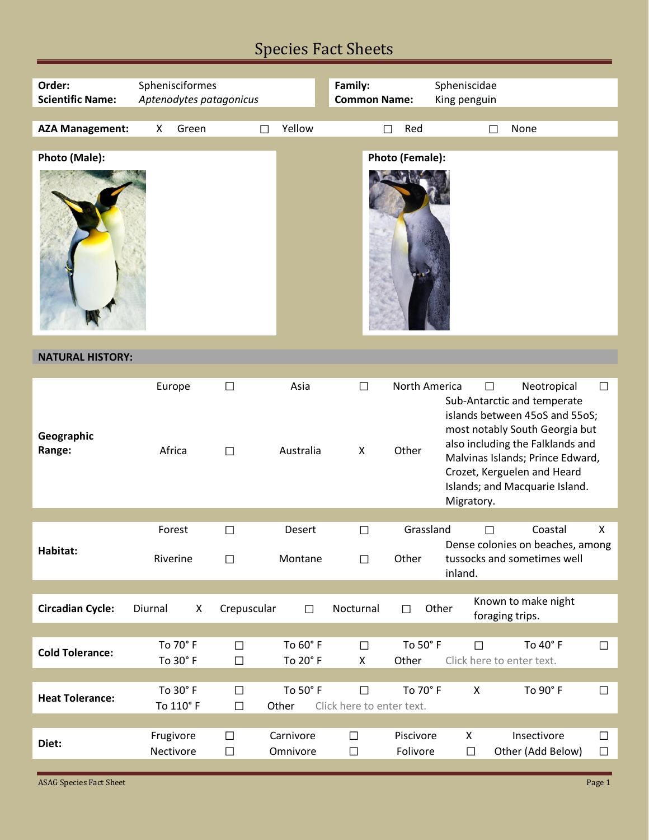## Species Fact Sheets

| Order:<br><b>Scientific Name:</b> | Sphenisciformes        | Aptenodytes patagonicus |                       | Family:<br><b>Common Name:</b>      |                        | Spheniscidae<br>King penguin |                                                                                                                                                                                                                                                         |                  |
|-----------------------------------|------------------------|-------------------------|-----------------------|-------------------------------------|------------------------|------------------------------|---------------------------------------------------------------------------------------------------------------------------------------------------------------------------------------------------------------------------------------------------------|------------------|
| <b>AZA Management:</b>            | Green<br>X             |                         | Yellow<br>П           |                                     | Red<br>П               | П                            | None                                                                                                                                                                                                                                                    |                  |
| Photo (Male):                     |                        |                         |                       |                                     | Photo (Female):        |                              |                                                                                                                                                                                                                                                         |                  |
| <b>NATURAL HISTORY:</b>           |                        |                         |                       |                                     |                        |                              |                                                                                                                                                                                                                                                         |                  |
|                                   |                        |                         |                       |                                     |                        |                              |                                                                                                                                                                                                                                                         |                  |
| Geographic<br>Range:              | Europe<br>Africa       | $\Box$<br>$\Box$        | Asia<br>Australia     | $\Box$<br>X                         | North America<br>Other | П<br>Migratory.              | Neotropical<br>Sub-Antarctic and temperate<br>islands between 45oS and 55oS;<br>most notably South Georgia but<br>also including the Falklands and<br>Malvinas Islands; Prince Edward,<br>Crozet, Kerguelen and Heard<br>Islands; and Macquarie Island. | $\Box$           |
|                                   |                        |                         |                       |                                     |                        |                              |                                                                                                                                                                                                                                                         |                  |
| Habitat:                          | Forest<br>Riverine     | $\Box$<br>$\Box$        | Desert<br>Montane     | $\Box$<br>$\Box$                    | Grassland<br>Other     | inland.                      | Coastal<br>Dense colonies on beaches, among<br>tussocks and sometimes well                                                                                                                                                                              | X                |
|                                   |                        |                         |                       |                                     |                        |                              |                                                                                                                                                                                                                                                         |                  |
| <b>Circadian Cycle:</b>           | Diurnal                | Crepuscular<br>X        | $\Box$                | Nocturnal                           | $\Box$                 | Other                        | Known to make night<br>foraging trips.                                                                                                                                                                                                                  |                  |
| <b>Cold Tolerance:</b>            | To 70° F<br>To 30° F   | $\Box$<br>$\Box$        | To 60° F<br>To 20°F   | $\Box$<br>X                         | To 50°F<br>Other       | $\Box$                       | To 40° F<br>Click here to enter text.                                                                                                                                                                                                                   | $\Box$           |
| <b>Heat Tolerance:</b>            | To 30° F<br>To 110° F  | $\Box$<br>$\Box$        | To 50° F<br>Other     | $\Box$<br>Click here to enter text. | To 70° F               | X                            | To 90° F                                                                                                                                                                                                                                                | $\Box$           |
| Diet:                             | Frugivore<br>Nectivore | $\Box$<br>$\Box$        | Carnivore<br>Omnivore | □<br>$\Box$                         | Piscivore<br>Folivore  | X<br>$\Box$                  | Insectivore<br>Other (Add Below)                                                                                                                                                                                                                        | $\Box$<br>$\Box$ |

ASAG Species Fact Sheet Page 1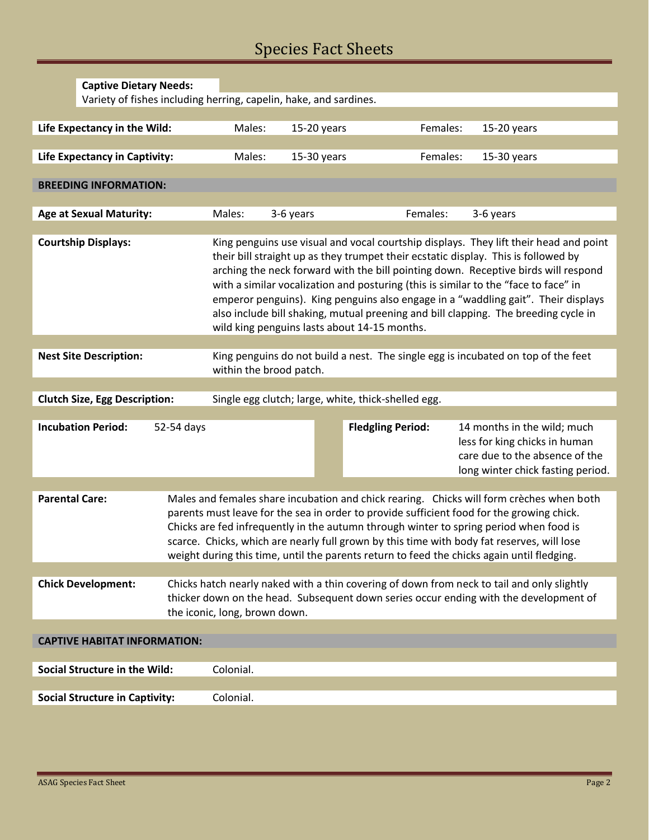## Species Fact Sheets

|                                                                                             | <b>Captive Dietary Needs:</b>                                                                                                                 |            |                                                                                                                                                                                                                                                                                                                                                                                                                                                                                                                                                                                      |                                                                   |                          |                                                                                                                                                                                                                                                                                                                                                                                                                                                                             |  |
|---------------------------------------------------------------------------------------------|-----------------------------------------------------------------------------------------------------------------------------------------------|------------|--------------------------------------------------------------------------------------------------------------------------------------------------------------------------------------------------------------------------------------------------------------------------------------------------------------------------------------------------------------------------------------------------------------------------------------------------------------------------------------------------------------------------------------------------------------------------------------|-------------------------------------------------------------------|--------------------------|-----------------------------------------------------------------------------------------------------------------------------------------------------------------------------------------------------------------------------------------------------------------------------------------------------------------------------------------------------------------------------------------------------------------------------------------------------------------------------|--|
|                                                                                             |                                                                                                                                               |            |                                                                                                                                                                                                                                                                                                                                                                                                                                                                                                                                                                                      | Variety of fishes including herring, capelin, hake, and sardines. |                          |                                                                                                                                                                                                                                                                                                                                                                                                                                                                             |  |
|                                                                                             |                                                                                                                                               |            |                                                                                                                                                                                                                                                                                                                                                                                                                                                                                                                                                                                      |                                                                   |                          |                                                                                                                                                                                                                                                                                                                                                                                                                                                                             |  |
|                                                                                             | Life Expectancy in the Wild:                                                                                                                  |            | Males:                                                                                                                                                                                                                                                                                                                                                                                                                                                                                                                                                                               | 15-20 years                                                       | Females:                 | 15-20 years                                                                                                                                                                                                                                                                                                                                                                                                                                                                 |  |
|                                                                                             |                                                                                                                                               |            |                                                                                                                                                                                                                                                                                                                                                                                                                                                                                                                                                                                      |                                                                   |                          |                                                                                                                                                                                                                                                                                                                                                                                                                                                                             |  |
|                                                                                             | Life Expectancy in Captivity:                                                                                                                 |            | Males:                                                                                                                                                                                                                                                                                                                                                                                                                                                                                                                                                                               | 15-30 years                                                       | Females:                 | 15-30 years                                                                                                                                                                                                                                                                                                                                                                                                                                                                 |  |
| <b>BREEDING INFORMATION:</b>                                                                |                                                                                                                                               |            |                                                                                                                                                                                                                                                                                                                                                                                                                                                                                                                                                                                      |                                                                   |                          |                                                                                                                                                                                                                                                                                                                                                                                                                                                                             |  |
|                                                                                             | <b>Age at Sexual Maturity:</b>                                                                                                                |            | Males:                                                                                                                                                                                                                                                                                                                                                                                                                                                                                                                                                                               | 3-6 years                                                         | Females:                 | 3-6 years                                                                                                                                                                                                                                                                                                                                                                                                                                                                   |  |
|                                                                                             |                                                                                                                                               |            |                                                                                                                                                                                                                                                                                                                                                                                                                                                                                                                                                                                      |                                                                   |                          |                                                                                                                                                                                                                                                                                                                                                                                                                                                                             |  |
| <b>Courtship Displays:</b>                                                                  |                                                                                                                                               |            | King penguins use visual and vocal courtship displays. They lift their head and point<br>their bill straight up as they trumpet their ecstatic display. This is followed by<br>arching the neck forward with the bill pointing down. Receptive birds will respond<br>with a similar vocalization and posturing (this is similar to the "face to face" in<br>emperor penguins). King penguins also engage in a "waddling gait". Their displays<br>also include bill shaking, mutual preening and bill clapping. The breeding cycle in<br>wild king penguins lasts about 14-15 months. |                                                                   |                          |                                                                                                                                                                                                                                                                                                                                                                                                                                                                             |  |
|                                                                                             |                                                                                                                                               |            |                                                                                                                                                                                                                                                                                                                                                                                                                                                                                                                                                                                      |                                                                   |                          |                                                                                                                                                                                                                                                                                                                                                                                                                                                                             |  |
|                                                                                             | King penguins do not build a nest. The single egg is incubated on top of the feet<br><b>Nest Site Description:</b><br>within the brood patch. |            |                                                                                                                                                                                                                                                                                                                                                                                                                                                                                                                                                                                      |                                                                   |                          |                                                                                                                                                                                                                                                                                                                                                                                                                                                                             |  |
|                                                                                             |                                                                                                                                               |            |                                                                                                                                                                                                                                                                                                                                                                                                                                                                                                                                                                                      |                                                                   |                          |                                                                                                                                                                                                                                                                                                                                                                                                                                                                             |  |
| Single egg clutch; large, white, thick-shelled egg.<br><b>Clutch Size, Egg Description:</b> |                                                                                                                                               |            |                                                                                                                                                                                                                                                                                                                                                                                                                                                                                                                                                                                      |                                                                   |                          |                                                                                                                                                                                                                                                                                                                                                                                                                                                                             |  |
|                                                                                             |                                                                                                                                               |            |                                                                                                                                                                                                                                                                                                                                                                                                                                                                                                                                                                                      |                                                                   |                          |                                                                                                                                                                                                                                                                                                                                                                                                                                                                             |  |
|                                                                                             |                                                                                                                                               |            |                                                                                                                                                                                                                                                                                                                                                                                                                                                                                                                                                                                      |                                                                   |                          |                                                                                                                                                                                                                                                                                                                                                                                                                                                                             |  |
|                                                                                             | <b>Incubation Period:</b>                                                                                                                     | 52-54 days |                                                                                                                                                                                                                                                                                                                                                                                                                                                                                                                                                                                      |                                                                   | <b>Fledgling Period:</b> | 14 months in the wild; much<br>less for king chicks in human<br>care due to the absence of the<br>long winter chick fasting period.                                                                                                                                                                                                                                                                                                                                         |  |
|                                                                                             |                                                                                                                                               |            |                                                                                                                                                                                                                                                                                                                                                                                                                                                                                                                                                                                      |                                                                   |                          |                                                                                                                                                                                                                                                                                                                                                                                                                                                                             |  |
| <b>Parental Care:</b>                                                                       |                                                                                                                                               |            |                                                                                                                                                                                                                                                                                                                                                                                                                                                                                                                                                                                      |                                                                   |                          | Males and females share incubation and chick rearing. Chicks will form crèches when both<br>parents must leave for the sea in order to provide sufficient food for the growing chick.<br>Chicks are fed infrequently in the autumn through winter to spring period when food is<br>scarce. Chicks, which are nearly full grown by this time with body fat reserves, will lose<br>weight during this time, until the parents return to feed the chicks again until fledging. |  |
|                                                                                             |                                                                                                                                               |            |                                                                                                                                                                                                                                                                                                                                                                                                                                                                                                                                                                                      |                                                                   |                          |                                                                                                                                                                                                                                                                                                                                                                                                                                                                             |  |
|                                                                                             | <b>Chick Development:</b>                                                                                                                     |            | the iconic, long, brown down.                                                                                                                                                                                                                                                                                                                                                                                                                                                                                                                                                        |                                                                   |                          | Chicks hatch nearly naked with a thin covering of down from neck to tail and only slightly<br>thicker down on the head. Subsequent down series occur ending with the development of                                                                                                                                                                                                                                                                                         |  |
|                                                                                             |                                                                                                                                               |            |                                                                                                                                                                                                                                                                                                                                                                                                                                                                                                                                                                                      |                                                                   |                          |                                                                                                                                                                                                                                                                                                                                                                                                                                                                             |  |
|                                                                                             | <b>CAPTIVE HABITAT INFORMATION:</b>                                                                                                           |            |                                                                                                                                                                                                                                                                                                                                                                                                                                                                                                                                                                                      |                                                                   |                          |                                                                                                                                                                                                                                                                                                                                                                                                                                                                             |  |
|                                                                                             |                                                                                                                                               |            |                                                                                                                                                                                                                                                                                                                                                                                                                                                                                                                                                                                      |                                                                   |                          |                                                                                                                                                                                                                                                                                                                                                                                                                                                                             |  |
|                                                                                             | <b>Social Structure in the Wild:</b>                                                                                                          |            | Colonial.                                                                                                                                                                                                                                                                                                                                                                                                                                                                                                                                                                            |                                                                   |                          |                                                                                                                                                                                                                                                                                                                                                                                                                                                                             |  |
|                                                                                             | <b>Social Structure in Captivity:</b>                                                                                                         |            | Colonial.                                                                                                                                                                                                                                                                                                                                                                                                                                                                                                                                                                            |                                                                   |                          |                                                                                                                                                                                                                                                                                                                                                                                                                                                                             |  |